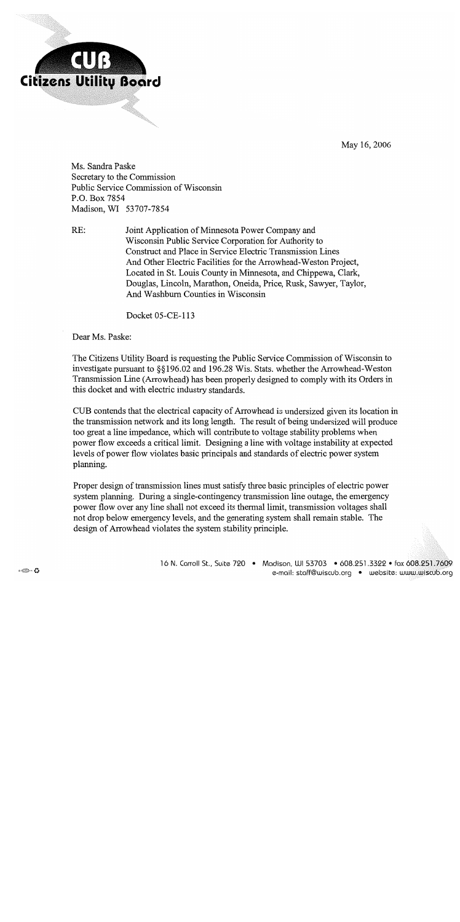

 $RE:$ 

May 16, 2006

Ms. Sandra Paske Secretary to the Commission Public Service Commission of Wisconsin P.O. Box 7854 Madison, WI 53707-7854

> Joint Application of Minnesota Power Company and Wisconsin Public Service Corporation for Authority to Construct and Place in Service Electric Transmission Lines And Other Electric Facilities for the Arrowhead-Weston Project, Located in St. Louis County in Minnesota, and Chippewa, Clark, Douglas, Lincoln, Marathon, Oneida, Price, Rusk, Sawyer, Taylor, And Washburn Counties in Wisconsin

> > Docket 05-CE-113

Dear Ms. Paske:

The Citizens Utility Board is requesting the Public Service Commission of Wisconsin to investigate pursuant to §§196.02 and 196.28 Wis. Stats. whether the Arrowhead-Weston Transmission Line (Arrowhead) has been properly designed to comply with its Orders in this docket and with electric industry standards.

CUB contends that the electrical capacity of Arrowhead is undersized given its location in the transmission network and its long length. The result of being undersized will produce too great a line impedance, which will contribute to voltage stability problems when power flow exceeds a critical limit. Designing a line with voltage instability at expected levels of power flow violates basic principals and standards of electric power system planning.

Proper design of transmission lines must satisfy three basic principles of electric power system planning. During a single-contingency transmission line outage, the emergency power flow over any line shall not exceed its thermal limit, transmission voltages shall not drop below emergency levels, and the generating system shall remain stable. The design of Arrowhead violates the system stability principle.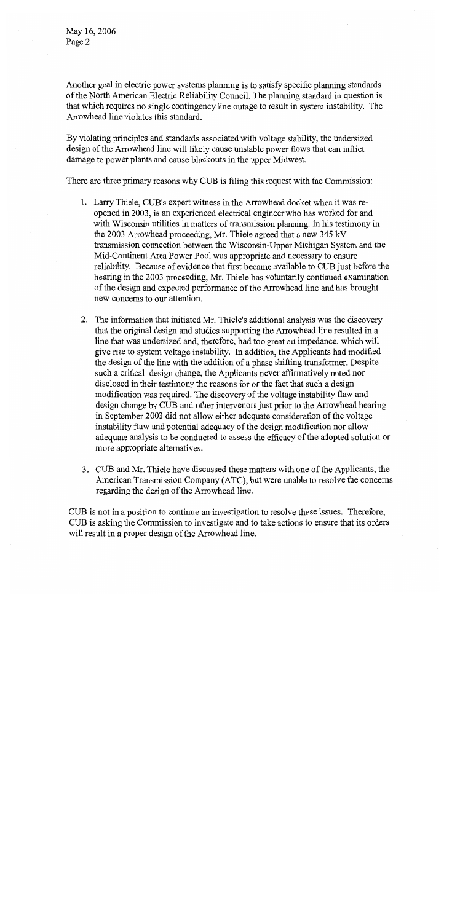May 16, 2006 Page 2

Another goal in electric power systems planning is to satisfy specific planning standards of the North American Electric Reliability Council. The planning standard in question is that which requires no single contingency line outage to result in system instability. The Arrowhead line violates this standard.

By violating principles and standards associated with voltage stability, the undersized design of the Arrowhead line will likely cause unstable power flows that can inflict damage to power plants and cause blackouts in the upper Midwest.

There are three primary reasons why CUB is filing this request with the Commission:

- 1. Larry Thiele, CUB's expert witness in the Arrowhead docket when it was reopened in 2003, is an experienced electrical engineer who has worked for and with Wisconsin utilities in matters of transmission planning. In his testimony in the 2003 Arrowhead proceeding, Mr. Thiele agreed that a new 345 kV transmission connection between the Wisconsin-Upper Michigan System and the Mid-Continent Area Power Pool was appropriate and necessary to ensure reliability. Because of evidence that first became available to CUB just before the hearing in the 2003 proceeding, Mr. Thiele has voluntarily continued examination of the design and expected performance of the Arrowhead line and has brought new concerns to our attention.
- 2. The information that initiated Mr. Thiele's additional analysis was the discovery that the original design and studies supporting the Arrowhead line resulted in a line that was undersized and, therefore, had too great an impedance, which will give rise to system voltage instability. In addition, the Applicants had modified the design of the line with the addition of a phase shifting transformer. Despite such a critical design change, the Applicants never affirmatively noted nor disclosed in their testimony the reasons for or the fact that such a design modification was required. The discovery of the voltage instability flaw and design change by CUB and other intervenors just prior to the Arrowhead hearing in September 2003 did not allow either adequate consideration of the voltage instability flaw and potential adequacy of the design modification nor allow adequate analysis to be conducted to assess the efficacy of the adopted solution or more appropriate alternatives.
- 3. CUB and Mr. Thiele have discussed these matters with one of the Applicants, the American Transmission Company (ATC), but were unable to resolve the concerns regarding the design of the Arrowhead line.

CUB is not in a position to continue an investigation to resolve these issues. Therefore, CUB is asking the Commission to investigate and to take actions to ensure that its orders will result in a proper design of the Arrowhead line.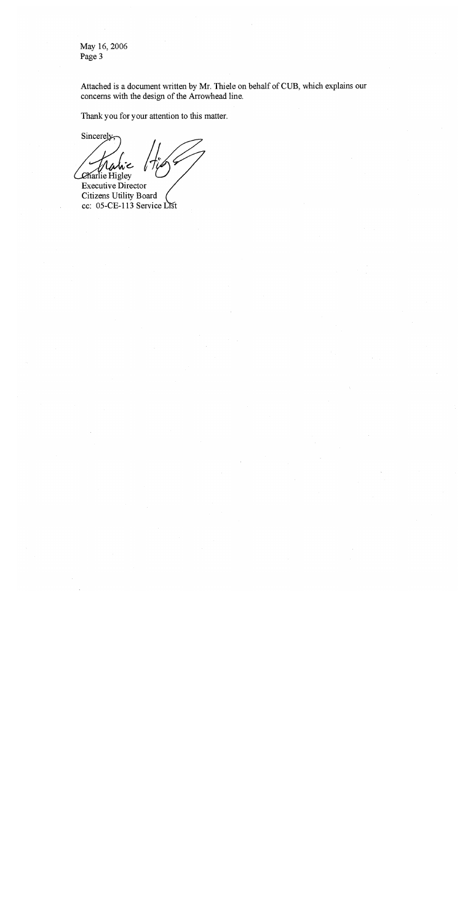May 16, 2006 Page 3

Attached is a document written by Mr. Thiele on behalf of CUB, which explains our concerns with the design of the Arrowhead line.

Thank you for your attention to this matter.

Sincerely. Charlie Higley

Executive Director Citizens Utility Board cc: 05-CE-113 Service List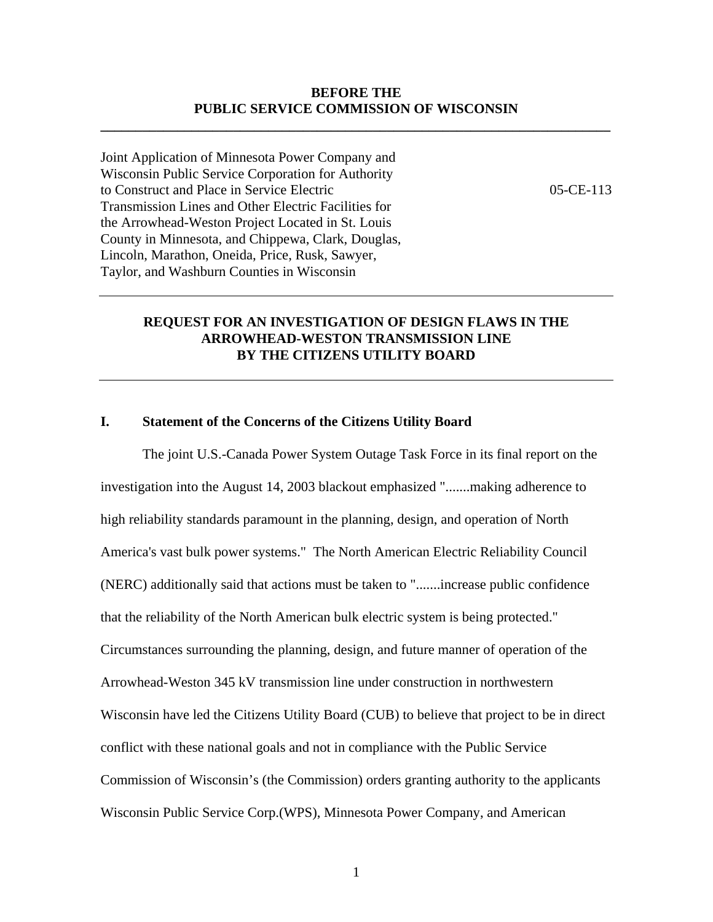## **BEFORE THE PUBLIC SERVICE COMMISSION OF WISCONSIN**

**\_\_\_\_\_\_\_\_\_\_\_\_\_\_\_\_\_\_\_\_\_\_\_\_\_\_\_\_\_\_\_\_\_\_\_\_\_\_\_\_\_\_\_\_\_\_\_\_\_\_\_\_\_\_\_\_\_\_\_\_\_\_\_\_\_\_\_\_\_\_\_\_\_** 

Joint Application of Minnesota Power Company and Wisconsin Public Service Corporation for Authority to Construct and Place in Service Electric Transmission Lines and Other Electric Facilities for the Arrowhead-Weston Project Located in St. Louis County in Minnesota, and Chippewa, Clark, Douglas, Lincoln, Marathon, Oneida, Price, Rusk, Sawyer, Taylor, and Washburn Counties in Wisconsin

05-CE-113

# **REQUEST FOR AN INVESTIGATION OF DESIGN FLAWS IN THE ARROWHEAD-WESTON TRANSMISSION LINE BY THE CITIZENS UTILITY BOARD**

# **I. Statement of the Concerns of the Citizens Utility Board**

The joint U.S.-Canada Power System Outage Task Force in its final report on the investigation into the August 14, 2003 blackout emphasized ".......making adherence to high reliability standards paramount in the planning, design, and operation of North America's vast bulk power systems." The North American Electric Reliability Council (NERC) additionally said that actions must be taken to ".......increase public confidence that the reliability of the North American bulk electric system is being protected." Circumstances surrounding the planning, design, and future manner of operation of the Arrowhead-Weston 345 kV transmission line under construction in northwestern Wisconsin have led the Citizens Utility Board (CUB) to believe that project to be in direct conflict with these national goals and not in compliance with the Public Service Commission of Wisconsin's (the Commission) orders granting authority to the applicants Wisconsin Public Service Corp.(WPS), Minnesota Power Company, and American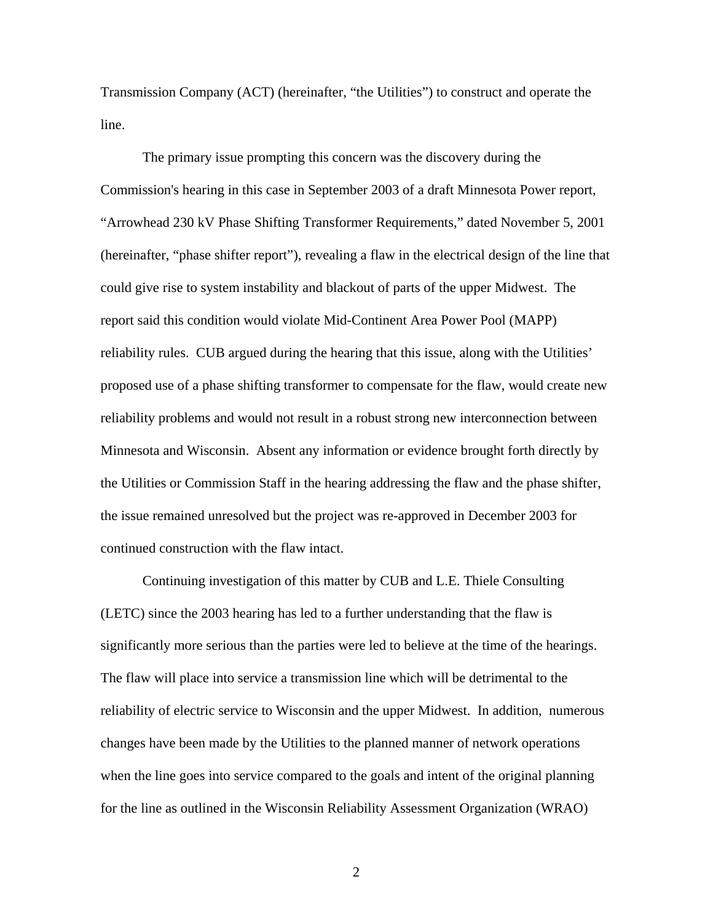Transmission Company (ACT) (hereinafter, "the Utilities") to construct and operate the line.

The primary issue prompting this concern was the discovery during the Commission's hearing in this case in September 2003 of a draft Minnesota Power report, "Arrowhead 230 kV Phase Shifting Transformer Requirements," dated November 5, 2001 (hereinafter, "phase shifter report"), revealing a flaw in the electrical design of the line that could give rise to system instability and blackout of parts of the upper Midwest. The report said this condition would violate Mid-Continent Area Power Pool (MAPP) reliability rules. CUB argued during the hearing that this issue, along with the Utilities' proposed use of a phase shifting transformer to compensate for the flaw, would create new reliability problems and would not result in a robust strong new interconnection between Minnesota and Wisconsin. Absent any information or evidence brought forth directly by the Utilities or Commission Staff in the hearing addressing the flaw and the phase shifter, the issue remained unresolved but the project was re-approved in December 2003 for continued construction with the flaw intact.

Continuing investigation of this matter by CUB and L.E. Thiele Consulting (LETC) since the 2003 hearing has led to a further understanding that the flaw is significantly more serious than the parties were led to believe at the time of the hearings. The flaw will place into service a transmission line which will be detrimental to the reliability of electric service to Wisconsin and the upper Midwest. In addition, numerous changes have been made by the Utilities to the planned manner of network operations when the line goes into service compared to the goals and intent of the original planning for the line as outlined in the Wisconsin Reliability Assessment Organization (WRAO)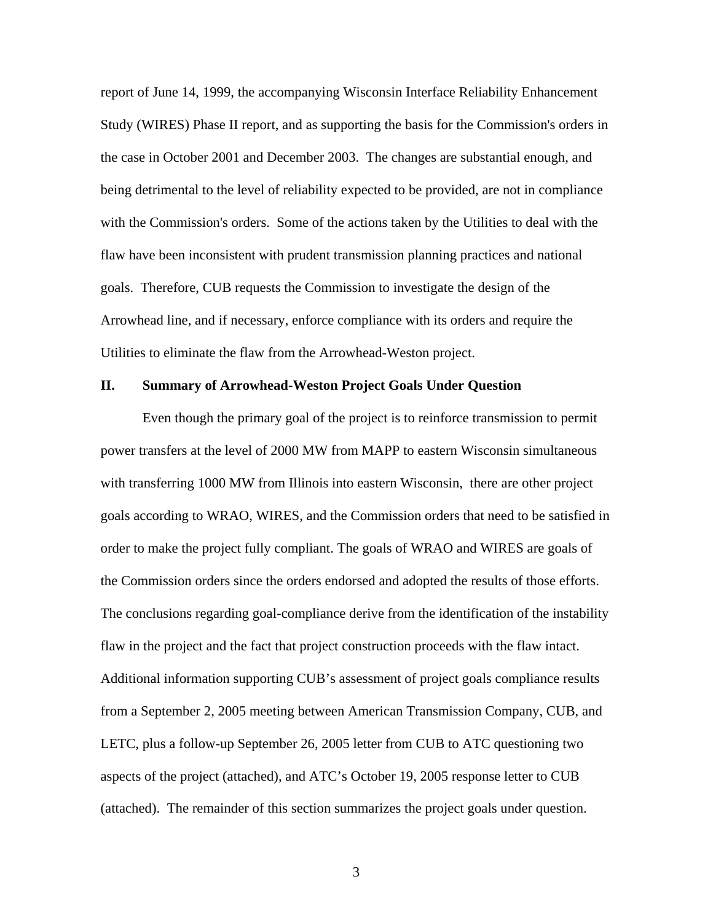report of June 14, 1999, the accompanying Wisconsin Interface Reliability Enhancement Study (WIRES) Phase II report, and as supporting the basis for the Commission's orders in the case in October 2001 and December 2003. The changes are substantial enough, and being detrimental to the level of reliability expected to be provided, are not in compliance with the Commission's orders. Some of the actions taken by the Utilities to deal with the flaw have been inconsistent with prudent transmission planning practices and national goals. Therefore, CUB requests the Commission to investigate the design of the Arrowhead line, and if necessary, enforce compliance with its orders and require the Utilities to eliminate the flaw from the Arrowhead-Weston project.

## **II. Summary of Arrowhead-Weston Project Goals Under Question**

Even though the primary goal of the project is to reinforce transmission to permit power transfers at the level of 2000 MW from MAPP to eastern Wisconsin simultaneous with transferring 1000 MW from Illinois into eastern Wisconsin, there are other project goals according to WRAO, WIRES, and the Commission orders that need to be satisfied in order to make the project fully compliant. The goals of WRAO and WIRES are goals of the Commission orders since the orders endorsed and adopted the results of those efforts. The conclusions regarding goal-compliance derive from the identification of the instability flaw in the project and the fact that project construction proceeds with the flaw intact. Additional information supporting CUB's assessment of project goals compliance results from a September 2, 2005 meeting between American Transmission Company, CUB, and LETC, plus a follow-up September 26, 2005 letter from CUB to ATC questioning two aspects of the project (attached), and ATC's October 19, 2005 response letter to CUB (attached). The remainder of this section summarizes the project goals under question.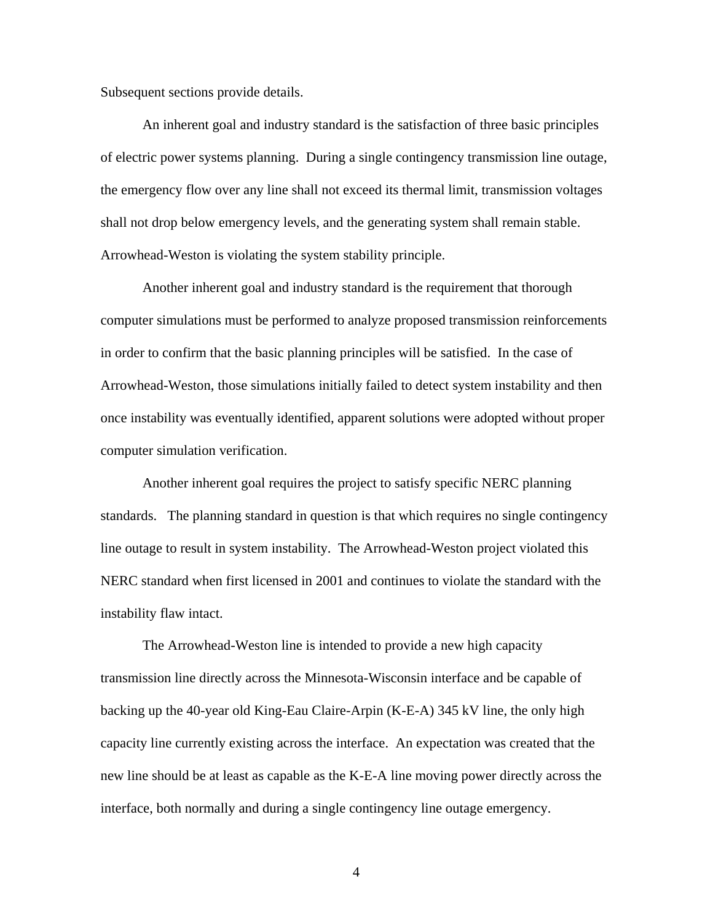Subsequent sections provide details.

An inherent goal and industry standard is the satisfaction of three basic principles of electric power systems planning. During a single contingency transmission line outage, the emergency flow over any line shall not exceed its thermal limit, transmission voltages shall not drop below emergency levels, and the generating system shall remain stable. Arrowhead-Weston is violating the system stability principle.

Another inherent goal and industry standard is the requirement that thorough computer simulations must be performed to analyze proposed transmission reinforcements in order to confirm that the basic planning principles will be satisfied. In the case of Arrowhead-Weston, those simulations initially failed to detect system instability and then once instability was eventually identified, apparent solutions were adopted without proper computer simulation verification.

Another inherent goal requires the project to satisfy specific NERC planning standards. The planning standard in question is that which requires no single contingency line outage to result in system instability. The Arrowhead-Weston project violated this NERC standard when first licensed in 2001 and continues to violate the standard with the instability flaw intact.

The Arrowhead-Weston line is intended to provide a new high capacity transmission line directly across the Minnesota-Wisconsin interface and be capable of backing up the 40-year old King-Eau Claire-Arpin (K-E-A) 345 kV line, the only high capacity line currently existing across the interface. An expectation was created that the new line should be at least as capable as the K-E-A line moving power directly across the interface, both normally and during a single contingency line outage emergency.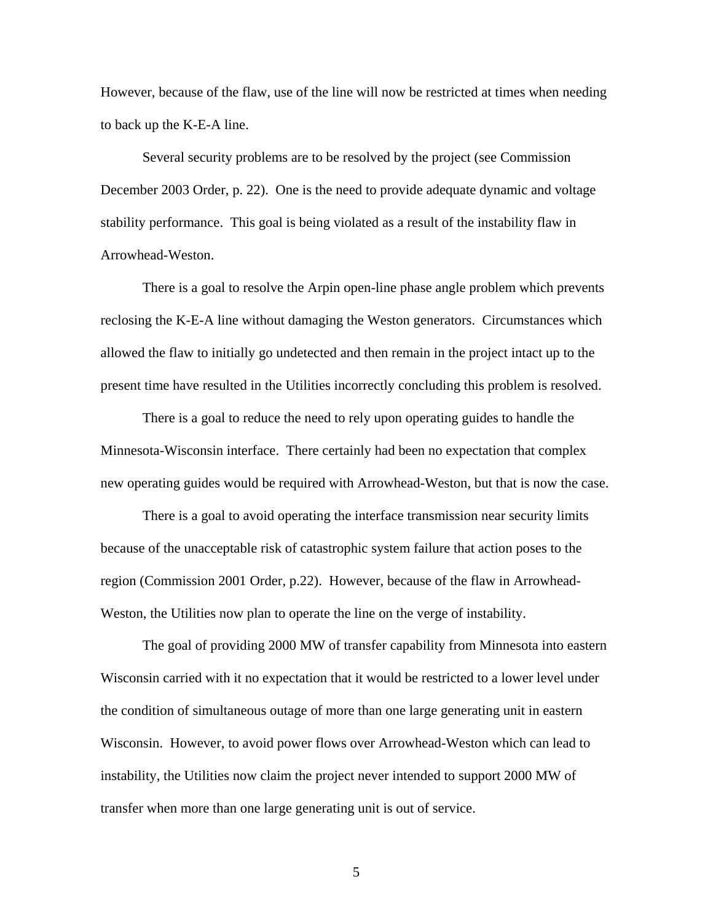However, because of the flaw, use of the line will now be restricted at times when needing to back up the K-E-A line.

Several security problems are to be resolved by the project (see Commission December 2003 Order, p. 22). One is the need to provide adequate dynamic and voltage stability performance. This goal is being violated as a result of the instability flaw in Arrowhead-Weston.

There is a goal to resolve the Arpin open-line phase angle problem which prevents reclosing the K-E-A line without damaging the Weston generators. Circumstances which allowed the flaw to initially go undetected and then remain in the project intact up to the present time have resulted in the Utilities incorrectly concluding this problem is resolved.

There is a goal to reduce the need to rely upon operating guides to handle the Minnesota-Wisconsin interface. There certainly had been no expectation that complex new operating guides would be required with Arrowhead-Weston, but that is now the case.

There is a goal to avoid operating the interface transmission near security limits because of the unacceptable risk of catastrophic system failure that action poses to the region (Commission 2001 Order, p.22). However, because of the flaw in Arrowhead-Weston, the Utilities now plan to operate the line on the verge of instability.

The goal of providing 2000 MW of transfer capability from Minnesota into eastern Wisconsin carried with it no expectation that it would be restricted to a lower level under the condition of simultaneous outage of more than one large generating unit in eastern Wisconsin. However, to avoid power flows over Arrowhead-Weston which can lead to instability, the Utilities now claim the project never intended to support 2000 MW of transfer when more than one large generating unit is out of service.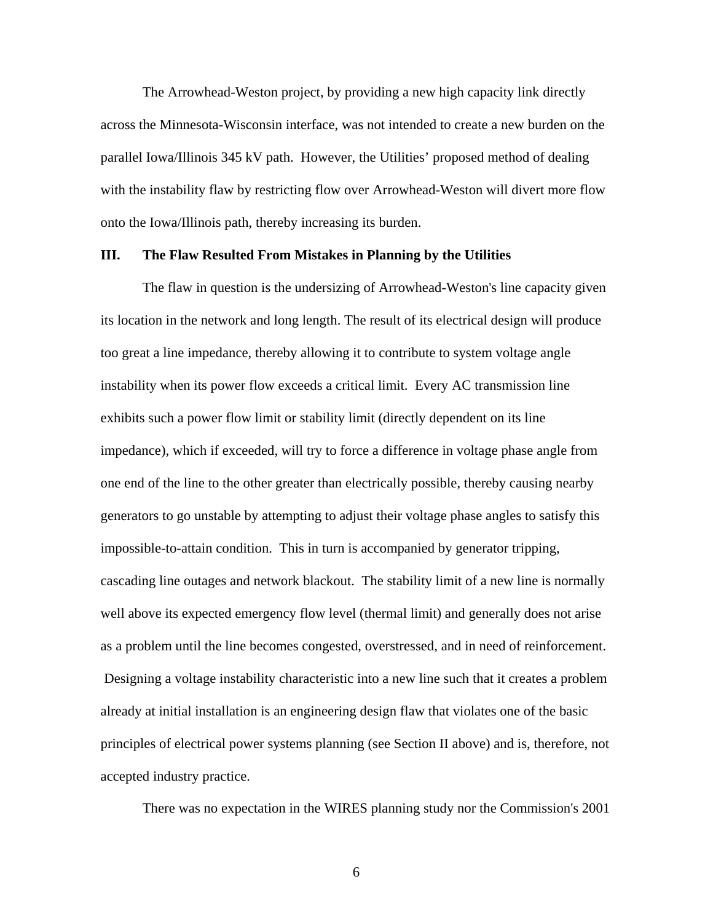The Arrowhead-Weston project, by providing a new high capacity link directly across the Minnesota-Wisconsin interface, was not intended to create a new burden on the parallel Iowa/Illinois 345 kV path. However, the Utilities' proposed method of dealing with the instability flaw by restricting flow over Arrowhead-Weston will divert more flow onto the Iowa/Illinois path, thereby increasing its burden.

### **III. The Flaw Resulted From Mistakes in Planning by the Utilities**

The flaw in question is the undersizing of Arrowhead-Weston's line capacity given its location in the network and long length. The result of its electrical design will produce too great a line impedance, thereby allowing it to contribute to system voltage angle instability when its power flow exceeds a critical limit. Every AC transmission line exhibits such a power flow limit or stability limit (directly dependent on its line impedance), which if exceeded, will try to force a difference in voltage phase angle from one end of the line to the other greater than electrically possible, thereby causing nearby generators to go unstable by attempting to adjust their voltage phase angles to satisfy this impossible-to-attain condition. This in turn is accompanied by generator tripping, cascading line outages and network blackout. The stability limit of a new line is normally well above its expected emergency flow level (thermal limit) and generally does not arise as a problem until the line becomes congested, overstressed, and in need of reinforcement. Designing a voltage instability characteristic into a new line such that it creates a problem already at initial installation is an engineering design flaw that violates one of the basic principles of electrical power systems planning (see Section II above) and is, therefore, not accepted industry practice.

There was no expectation in the WIRES planning study nor the Commission's 2001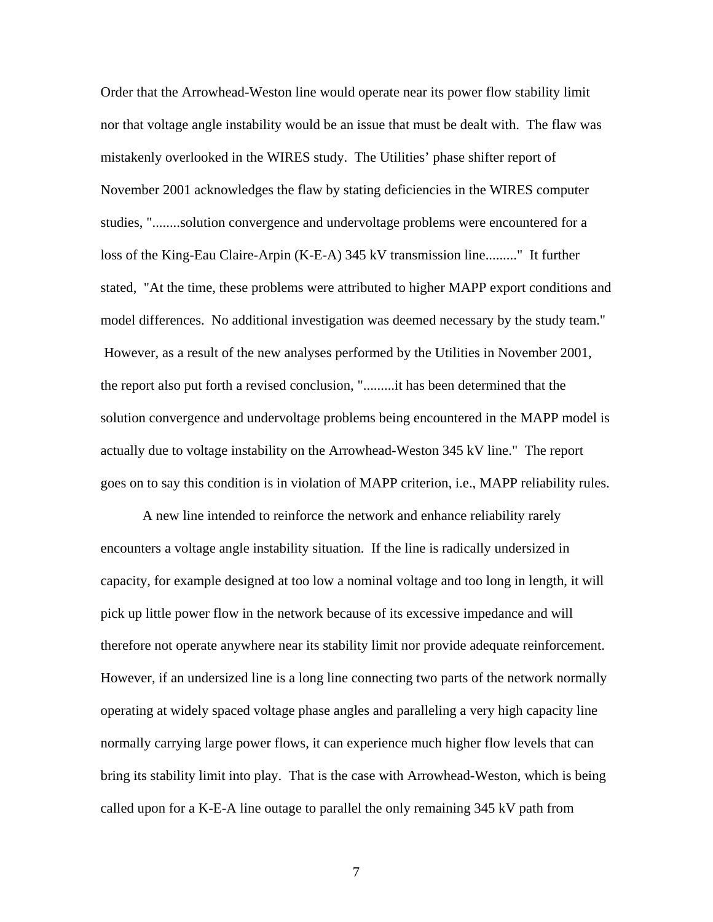Order that the Arrowhead-Weston line would operate near its power flow stability limit nor that voltage angle instability would be an issue that must be dealt with. The flaw was mistakenly overlooked in the WIRES study. The Utilities' phase shifter report of November 2001 acknowledges the flaw by stating deficiencies in the WIRES computer studies, "........solution convergence and undervoltage problems were encountered for a loss of the King-Eau Claire-Arpin (K-E-A) 345 kV transmission line........." It further stated, "At the time, these problems were attributed to higher MAPP export conditions and model differences. No additional investigation was deemed necessary by the study team." However, as a result of the new analyses performed by the Utilities in November 2001, the report also put forth a revised conclusion, ".........it has been determined that the solution convergence and undervoltage problems being encountered in the MAPP model is actually due to voltage instability on the Arrowhead-Weston 345 kV line." The report goes on to say this condition is in violation of MAPP criterion, i.e., MAPP reliability rules.

A new line intended to reinforce the network and enhance reliability rarely encounters a voltage angle instability situation. If the line is radically undersized in capacity, for example designed at too low a nominal voltage and too long in length, it will pick up little power flow in the network because of its excessive impedance and will therefore not operate anywhere near its stability limit nor provide adequate reinforcement. However, if an undersized line is a long line connecting two parts of the network normally operating at widely spaced voltage phase angles and paralleling a very high capacity line normally carrying large power flows, it can experience much higher flow levels that can bring its stability limit into play. That is the case with Arrowhead-Weston, which is being called upon for a K-E-A line outage to parallel the only remaining 345 kV path from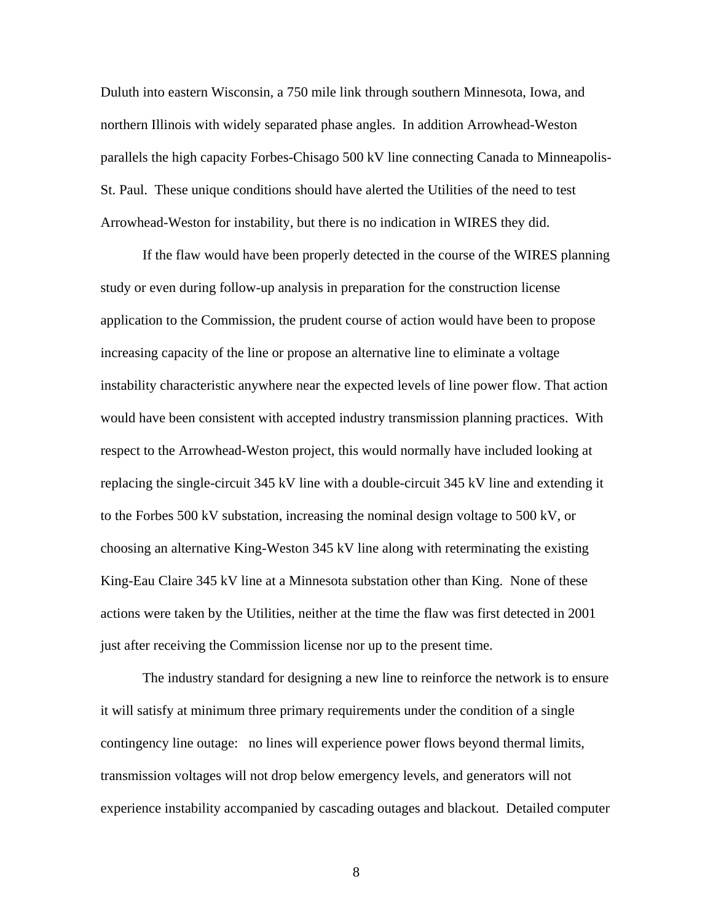Duluth into eastern Wisconsin, a 750 mile link through southern Minnesota, Iowa, and northern Illinois with widely separated phase angles. In addition Arrowhead-Weston parallels the high capacity Forbes-Chisago 500 kV line connecting Canada to Minneapolis-St. Paul. These unique conditions should have alerted the Utilities of the need to test Arrowhead-Weston for instability, but there is no indication in WIRES they did.

If the flaw would have been properly detected in the course of the WIRES planning study or even during follow-up analysis in preparation for the construction license application to the Commission, the prudent course of action would have been to propose increasing capacity of the line or propose an alternative line to eliminate a voltage instability characteristic anywhere near the expected levels of line power flow. That action would have been consistent with accepted industry transmission planning practices. With respect to the Arrowhead-Weston project, this would normally have included looking at replacing the single-circuit 345 kV line with a double-circuit 345 kV line and extending it to the Forbes 500 kV substation, increasing the nominal design voltage to 500 kV, or choosing an alternative King-Weston 345 kV line along with reterminating the existing King-Eau Claire 345 kV line at a Minnesota substation other than King. None of these actions were taken by the Utilities, neither at the time the flaw was first detected in 2001 just after receiving the Commission license nor up to the present time.

The industry standard for designing a new line to reinforce the network is to ensure it will satisfy at minimum three primary requirements under the condition of a single contingency line outage: no lines will experience power flows beyond thermal limits, transmission voltages will not drop below emergency levels, and generators will not experience instability accompanied by cascading outages and blackout. Detailed computer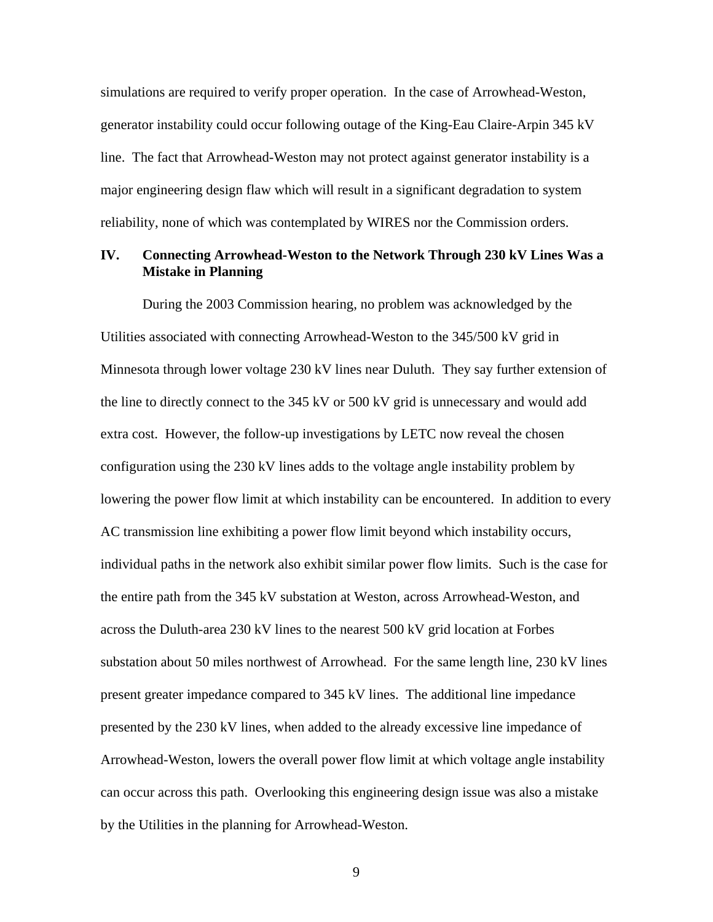simulations are required to verify proper operation. In the case of Arrowhead-Weston, generator instability could occur following outage of the King-Eau Claire-Arpin 345 kV line. The fact that Arrowhead-Weston may not protect against generator instability is a major engineering design flaw which will result in a significant degradation to system reliability, none of which was contemplated by WIRES nor the Commission orders.

## **IV. Connecting Arrowhead-Weston to the Network Through 230 kV Lines Was a Mistake in Planning**

During the 2003 Commission hearing, no problem was acknowledged by the Utilities associated with connecting Arrowhead-Weston to the 345/500 kV grid in Minnesota through lower voltage 230 kV lines near Duluth. They say further extension of the line to directly connect to the 345 kV or 500 kV grid is unnecessary and would add extra cost. However, the follow-up investigations by LETC now reveal the chosen configuration using the 230 kV lines adds to the voltage angle instability problem by lowering the power flow limit at which instability can be encountered. In addition to every AC transmission line exhibiting a power flow limit beyond which instability occurs, individual paths in the network also exhibit similar power flow limits. Such is the case for the entire path from the 345 kV substation at Weston, across Arrowhead-Weston, and across the Duluth-area 230 kV lines to the nearest 500 kV grid location at Forbes substation about 50 miles northwest of Arrowhead. For the same length line, 230 kV lines present greater impedance compared to 345 kV lines. The additional line impedance presented by the 230 kV lines, when added to the already excessive line impedance of Arrowhead-Weston, lowers the overall power flow limit at which voltage angle instability can occur across this path. Overlooking this engineering design issue was also a mistake by the Utilities in the planning for Arrowhead-Weston.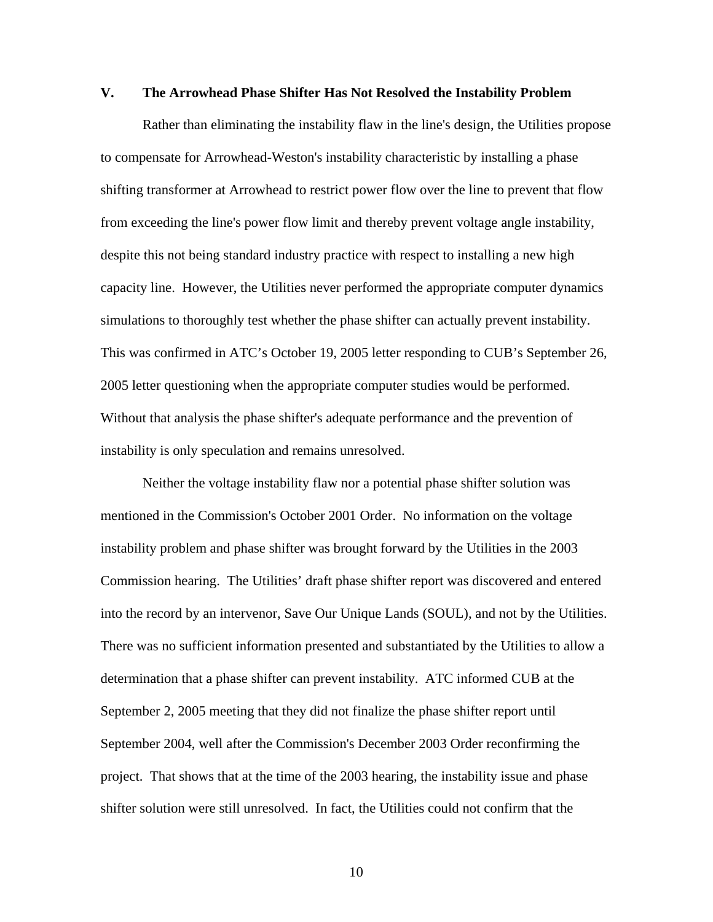### **V. The Arrowhead Phase Shifter Has Not Resolved the Instability Problem**

Rather than eliminating the instability flaw in the line's design, the Utilities propose to compensate for Arrowhead-Weston's instability characteristic by installing a phase shifting transformer at Arrowhead to restrict power flow over the line to prevent that flow from exceeding the line's power flow limit and thereby prevent voltage angle instability, despite this not being standard industry practice with respect to installing a new high capacity line. However, the Utilities never performed the appropriate computer dynamics simulations to thoroughly test whether the phase shifter can actually prevent instability. This was confirmed in ATC's October 19, 2005 letter responding to CUB's September 26, 2005 letter questioning when the appropriate computer studies would be performed. Without that analysis the phase shifter's adequate performance and the prevention of instability is only speculation and remains unresolved.

Neither the voltage instability flaw nor a potential phase shifter solution was mentioned in the Commission's October 2001 Order. No information on the voltage instability problem and phase shifter was brought forward by the Utilities in the 2003 Commission hearing. The Utilities' draft phase shifter report was discovered and entered into the record by an intervenor, Save Our Unique Lands (SOUL), and not by the Utilities. There was no sufficient information presented and substantiated by the Utilities to allow a determination that a phase shifter can prevent instability. ATC informed CUB at the September 2, 2005 meeting that they did not finalize the phase shifter report until September 2004, well after the Commission's December 2003 Order reconfirming the project. That shows that at the time of the 2003 hearing, the instability issue and phase shifter solution were still unresolved. In fact, the Utilities could not confirm that the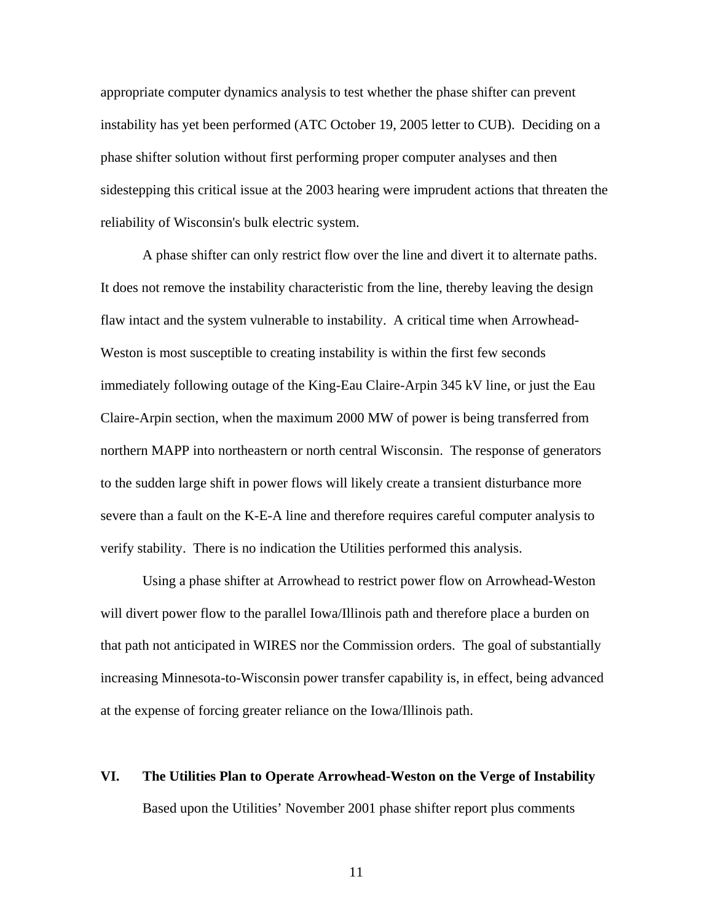appropriate computer dynamics analysis to test whether the phase shifter can prevent instability has yet been performed (ATC October 19, 2005 letter to CUB). Deciding on a phase shifter solution without first performing proper computer analyses and then sidestepping this critical issue at the 2003 hearing were imprudent actions that threaten the reliability of Wisconsin's bulk electric system.

A phase shifter can only restrict flow over the line and divert it to alternate paths. It does not remove the instability characteristic from the line, thereby leaving the design flaw intact and the system vulnerable to instability. A critical time when Arrowhead-Weston is most susceptible to creating instability is within the first few seconds immediately following outage of the King-Eau Claire-Arpin 345 kV line, or just the Eau Claire-Arpin section, when the maximum 2000 MW of power is being transferred from northern MAPP into northeastern or north central Wisconsin. The response of generators to the sudden large shift in power flows will likely create a transient disturbance more severe than a fault on the K-E-A line and therefore requires careful computer analysis to verify stability. There is no indication the Utilities performed this analysis.

Using a phase shifter at Arrowhead to restrict power flow on Arrowhead-Weston will divert power flow to the parallel Iowa/Illinois path and therefore place a burden on that path not anticipated in WIRES nor the Commission orders. The goal of substantially increasing Minnesota-to-Wisconsin power transfer capability is, in effect, being advanced at the expense of forcing greater reliance on the Iowa/Illinois path.

# **VI. The Utilities Plan to Operate Arrowhead-Weston on the Verge of Instability**

Based upon the Utilities' November 2001 phase shifter report plus comments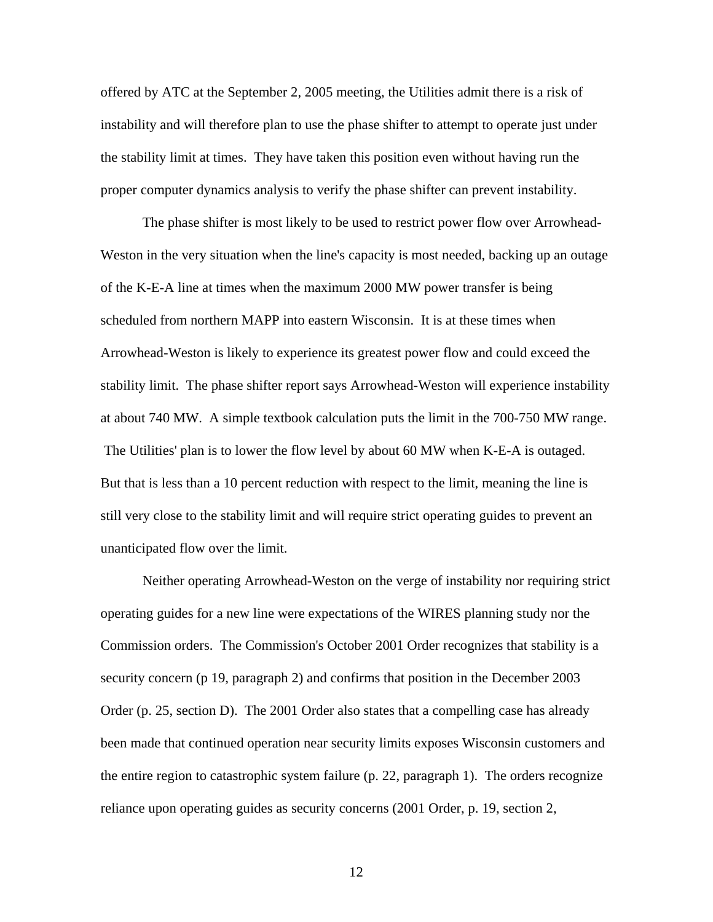offered by ATC at the September 2, 2005 meeting, the Utilities admit there is a risk of instability and will therefore plan to use the phase shifter to attempt to operate just under the stability limit at times. They have taken this position even without having run the proper computer dynamics analysis to verify the phase shifter can prevent instability.

The phase shifter is most likely to be used to restrict power flow over Arrowhead-Weston in the very situation when the line's capacity is most needed, backing up an outage of the K-E-A line at times when the maximum 2000 MW power transfer is being scheduled from northern MAPP into eastern Wisconsin. It is at these times when Arrowhead-Weston is likely to experience its greatest power flow and could exceed the stability limit. The phase shifter report says Arrowhead-Weston will experience instability at about 740 MW. A simple textbook calculation puts the limit in the 700-750 MW range. The Utilities' plan is to lower the flow level by about 60 MW when K-E-A is outaged. But that is less than a 10 percent reduction with respect to the limit, meaning the line is still very close to the stability limit and will require strict operating guides to prevent an unanticipated flow over the limit.

Neither operating Arrowhead-Weston on the verge of instability nor requiring strict operating guides for a new line were expectations of the WIRES planning study nor the Commission orders. The Commission's October 2001 Order recognizes that stability is a security concern (p 19, paragraph 2) and confirms that position in the December 2003 Order (p. 25, section D). The 2001 Order also states that a compelling case has already been made that continued operation near security limits exposes Wisconsin customers and the entire region to catastrophic system failure (p. 22, paragraph 1). The orders recognize reliance upon operating guides as security concerns (2001 Order, p. 19, section 2,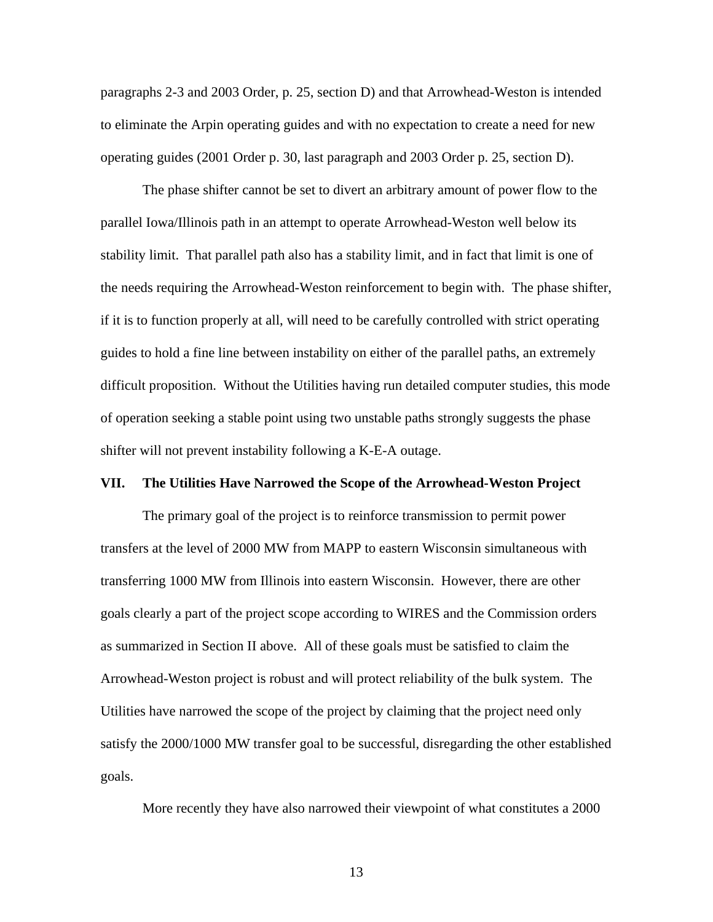paragraphs 2-3 and 2003 Order, p. 25, section D) and that Arrowhead-Weston is intended to eliminate the Arpin operating guides and with no expectation to create a need for new operating guides (2001 Order p. 30, last paragraph and 2003 Order p. 25, section D).

The phase shifter cannot be set to divert an arbitrary amount of power flow to the parallel Iowa/Illinois path in an attempt to operate Arrowhead-Weston well below its stability limit. That parallel path also has a stability limit, and in fact that limit is one of the needs requiring the Arrowhead-Weston reinforcement to begin with. The phase shifter, if it is to function properly at all, will need to be carefully controlled with strict operating guides to hold a fine line between instability on either of the parallel paths, an extremely difficult proposition. Without the Utilities having run detailed computer studies, this mode of operation seeking a stable point using two unstable paths strongly suggests the phase shifter will not prevent instability following a K-E-A outage.

### **VII. The Utilities Have Narrowed the Scope of the Arrowhead-Weston Project**

The primary goal of the project is to reinforce transmission to permit power transfers at the level of 2000 MW from MAPP to eastern Wisconsin simultaneous with transferring 1000 MW from Illinois into eastern Wisconsin. However, there are other goals clearly a part of the project scope according to WIRES and the Commission orders as summarized in Section II above. All of these goals must be satisfied to claim the Arrowhead-Weston project is robust and will protect reliability of the bulk system. The Utilities have narrowed the scope of the project by claiming that the project need only satisfy the 2000/1000 MW transfer goal to be successful, disregarding the other established goals.

More recently they have also narrowed their viewpoint of what constitutes a 2000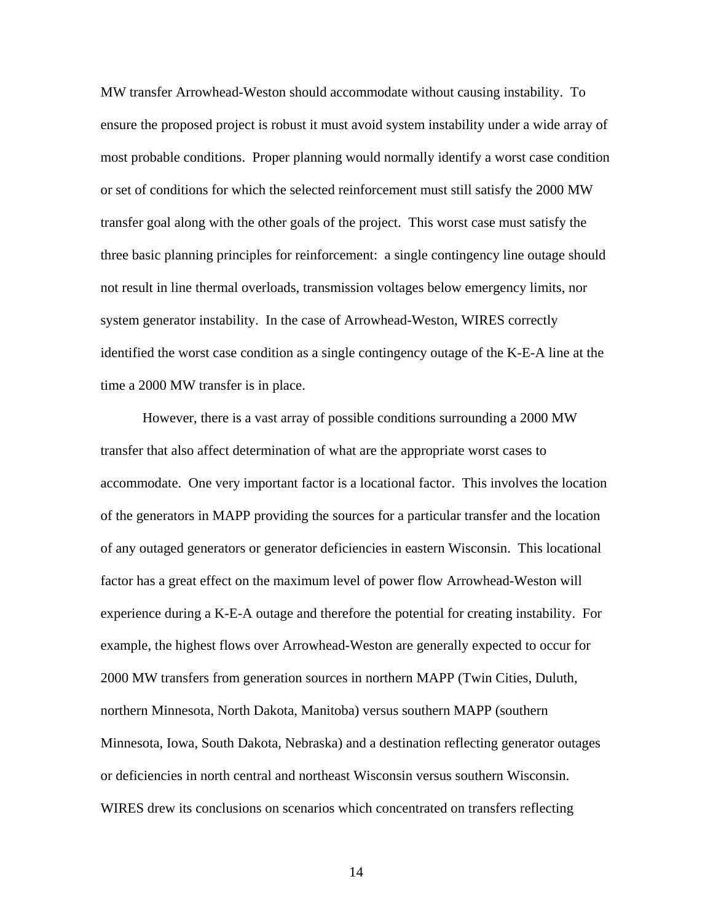MW transfer Arrowhead-Weston should accommodate without causing instability. To ensure the proposed project is robust it must avoid system instability under a wide array of most probable conditions. Proper planning would normally identify a worst case condition or set of conditions for which the selected reinforcement must still satisfy the 2000 MW transfer goal along with the other goals of the project. This worst case must satisfy the three basic planning principles for reinforcement: a single contingency line outage should not result in line thermal overloads, transmission voltages below emergency limits, nor system generator instability. In the case of Arrowhead-Weston, WIRES correctly identified the worst case condition as a single contingency outage of the K-E-A line at the time a 2000 MW transfer is in place.

However, there is a vast array of possible conditions surrounding a 2000 MW transfer that also affect determination of what are the appropriate worst cases to accommodate. One very important factor is a locational factor. This involves the location of the generators in MAPP providing the sources for a particular transfer and the location of any outaged generators or generator deficiencies in eastern Wisconsin. This locational factor has a great effect on the maximum level of power flow Arrowhead-Weston will experience during a K-E-A outage and therefore the potential for creating instability. For example, the highest flows over Arrowhead-Weston are generally expected to occur for 2000 MW transfers from generation sources in northern MAPP (Twin Cities, Duluth, northern Minnesota, North Dakota, Manitoba) versus southern MAPP (southern Minnesota, Iowa, South Dakota, Nebraska) and a destination reflecting generator outages or deficiencies in north central and northeast Wisconsin versus southern Wisconsin. WIRES drew its conclusions on scenarios which concentrated on transfers reflecting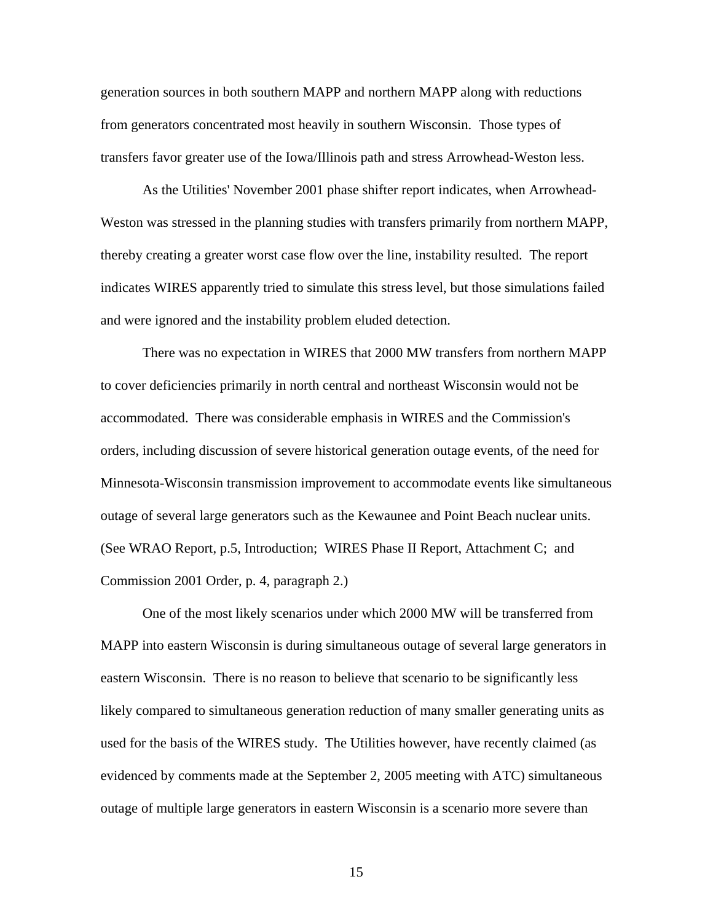generation sources in both southern MAPP and northern MAPP along with reductions from generators concentrated most heavily in southern Wisconsin. Those types of transfers favor greater use of the Iowa/Illinois path and stress Arrowhead-Weston less.

As the Utilities' November 2001 phase shifter report indicates, when Arrowhead-Weston was stressed in the planning studies with transfers primarily from northern MAPP, thereby creating a greater worst case flow over the line, instability resulted. The report indicates WIRES apparently tried to simulate this stress level, but those simulations failed and were ignored and the instability problem eluded detection.

There was no expectation in WIRES that 2000 MW transfers from northern MAPP to cover deficiencies primarily in north central and northeast Wisconsin would not be accommodated. There was considerable emphasis in WIRES and the Commission's orders, including discussion of severe historical generation outage events, of the need for Minnesota-Wisconsin transmission improvement to accommodate events like simultaneous outage of several large generators such as the Kewaunee and Point Beach nuclear units. (See WRAO Report, p.5, Introduction; WIRES Phase II Report, Attachment C; and Commission 2001 Order, p. 4, paragraph 2.)

One of the most likely scenarios under which 2000 MW will be transferred from MAPP into eastern Wisconsin is during simultaneous outage of several large generators in eastern Wisconsin. There is no reason to believe that scenario to be significantly less likely compared to simultaneous generation reduction of many smaller generating units as used for the basis of the WIRES study. The Utilities however, have recently claimed (as evidenced by comments made at the September 2, 2005 meeting with ATC) simultaneous outage of multiple large generators in eastern Wisconsin is a scenario more severe than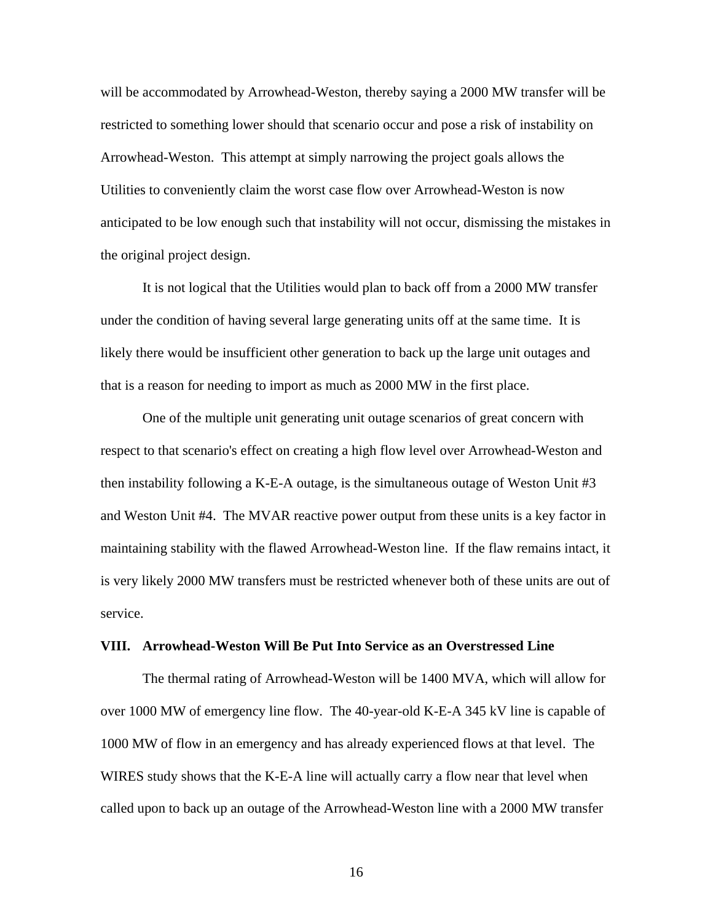will be accommodated by Arrowhead-Weston, thereby saying a 2000 MW transfer will be restricted to something lower should that scenario occur and pose a risk of instability on Arrowhead-Weston. This attempt at simply narrowing the project goals allows the Utilities to conveniently claim the worst case flow over Arrowhead-Weston is now anticipated to be low enough such that instability will not occur, dismissing the mistakes in the original project design.

It is not logical that the Utilities would plan to back off from a 2000 MW transfer under the condition of having several large generating units off at the same time. It is likely there would be insufficient other generation to back up the large unit outages and that is a reason for needing to import as much as 2000 MW in the first place.

One of the multiple unit generating unit outage scenarios of great concern with respect to that scenario's effect on creating a high flow level over Arrowhead-Weston and then instability following a K-E-A outage, is the simultaneous outage of Weston Unit #3 and Weston Unit #4. The MVAR reactive power output from these units is a key factor in maintaining stability with the flawed Arrowhead-Weston line. If the flaw remains intact, it is very likely 2000 MW transfers must be restricted whenever both of these units are out of service.

### **VIII. Arrowhead-Weston Will Be Put Into Service as an Overstressed Line**

The thermal rating of Arrowhead-Weston will be 1400 MVA, which will allow for over 1000 MW of emergency line flow. The 40-year-old K-E-A 345 kV line is capable of 1000 MW of flow in an emergency and has already experienced flows at that level. The WIRES study shows that the K-E-A line will actually carry a flow near that level when called upon to back up an outage of the Arrowhead-Weston line with a 2000 MW transfer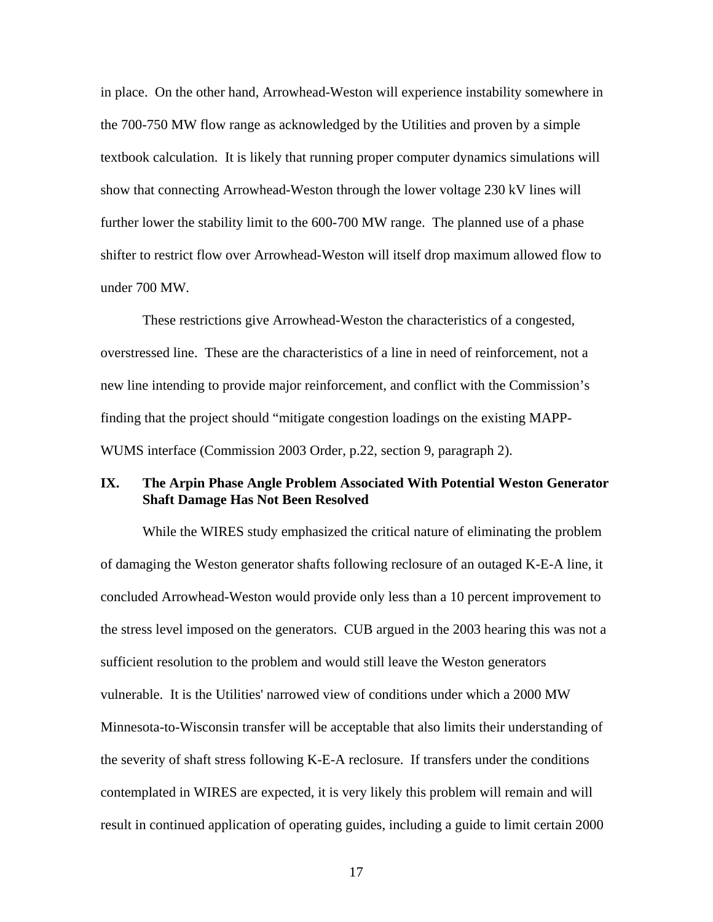in place. On the other hand, Arrowhead-Weston will experience instability somewhere in the 700-750 MW flow range as acknowledged by the Utilities and proven by a simple textbook calculation. It is likely that running proper computer dynamics simulations will show that connecting Arrowhead-Weston through the lower voltage 230 kV lines will further lower the stability limit to the 600-700 MW range. The planned use of a phase shifter to restrict flow over Arrowhead-Weston will itself drop maximum allowed flow to under 700 MW.

These restrictions give Arrowhead-Weston the characteristics of a congested, overstressed line. These are the characteristics of a line in need of reinforcement, not a new line intending to provide major reinforcement, and conflict with the Commission's finding that the project should "mitigate congestion loadings on the existing MAPP-WUMS interface (Commission 2003 Order, p.22, section 9, paragraph 2).

## **IX. The Arpin Phase Angle Problem Associated With Potential Weston Generator Shaft Damage Has Not Been Resolved**

While the WIRES study emphasized the critical nature of eliminating the problem of damaging the Weston generator shafts following reclosure of an outaged K-E-A line, it concluded Arrowhead-Weston would provide only less than a 10 percent improvement to the stress level imposed on the generators. CUB argued in the 2003 hearing this was not a sufficient resolution to the problem and would still leave the Weston generators vulnerable. It is the Utilities' narrowed view of conditions under which a 2000 MW Minnesota-to-Wisconsin transfer will be acceptable that also limits their understanding of the severity of shaft stress following K-E-A reclosure. If transfers under the conditions contemplated in WIRES are expected, it is very likely this problem will remain and will result in continued application of operating guides, including a guide to limit certain 2000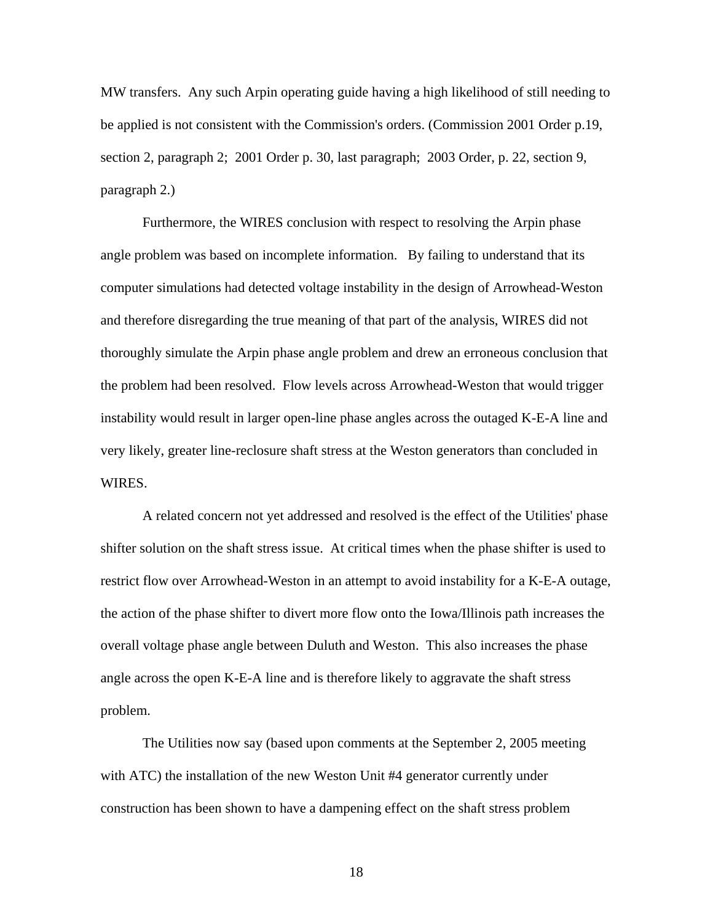MW transfers. Any such Arpin operating guide having a high likelihood of still needing to be applied is not consistent with the Commission's orders. (Commission 2001 Order p.19, section 2, paragraph 2; 2001 Order p. 30, last paragraph; 2003 Order, p. 22, section 9, paragraph 2.)

Furthermore, the WIRES conclusion with respect to resolving the Arpin phase angle problem was based on incomplete information. By failing to understand that its computer simulations had detected voltage instability in the design of Arrowhead-Weston and therefore disregarding the true meaning of that part of the analysis, WIRES did not thoroughly simulate the Arpin phase angle problem and drew an erroneous conclusion that the problem had been resolved. Flow levels across Arrowhead-Weston that would trigger instability would result in larger open-line phase angles across the outaged K-E-A line and very likely, greater line-reclosure shaft stress at the Weston generators than concluded in WIRES.

A related concern not yet addressed and resolved is the effect of the Utilities' phase shifter solution on the shaft stress issue. At critical times when the phase shifter is used to restrict flow over Arrowhead-Weston in an attempt to avoid instability for a K-E-A outage, the action of the phase shifter to divert more flow onto the Iowa/Illinois path increases the overall voltage phase angle between Duluth and Weston. This also increases the phase angle across the open K-E-A line and is therefore likely to aggravate the shaft stress problem.

The Utilities now say (based upon comments at the September 2, 2005 meeting with ATC) the installation of the new Weston Unit #4 generator currently under construction has been shown to have a dampening effect on the shaft stress problem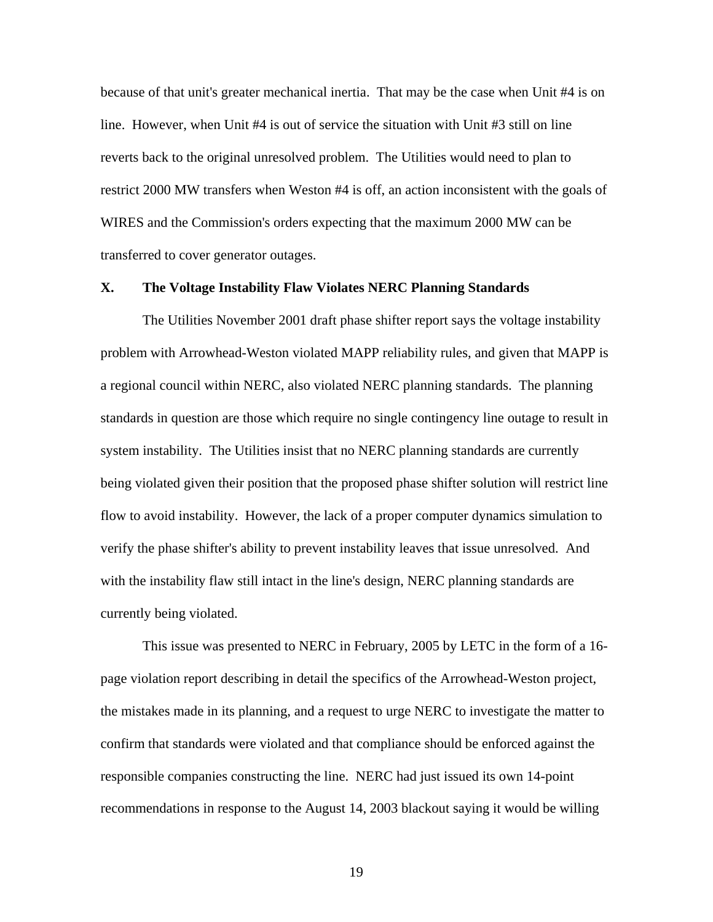because of that unit's greater mechanical inertia. That may be the case when Unit #4 is on line. However, when Unit #4 is out of service the situation with Unit #3 still on line reverts back to the original unresolved problem. The Utilities would need to plan to restrict 2000 MW transfers when Weston #4 is off, an action inconsistent with the goals of WIRES and the Commission's orders expecting that the maximum 2000 MW can be transferred to cover generator outages.

## **X. The Voltage Instability Flaw Violates NERC Planning Standards**

The Utilities November 2001 draft phase shifter report says the voltage instability problem with Arrowhead-Weston violated MAPP reliability rules, and given that MAPP is a regional council within NERC, also violated NERC planning standards. The planning standards in question are those which require no single contingency line outage to result in system instability. The Utilities insist that no NERC planning standards are currently being violated given their position that the proposed phase shifter solution will restrict line flow to avoid instability. However, the lack of a proper computer dynamics simulation to verify the phase shifter's ability to prevent instability leaves that issue unresolved. And with the instability flaw still intact in the line's design, NERC planning standards are currently being violated.

This issue was presented to NERC in February, 2005 by LETC in the form of a 16 page violation report describing in detail the specifics of the Arrowhead-Weston project, the mistakes made in its planning, and a request to urge NERC to investigate the matter to confirm that standards were violated and that compliance should be enforced against the responsible companies constructing the line. NERC had just issued its own 14-point recommendations in response to the August 14, 2003 blackout saying it would be willing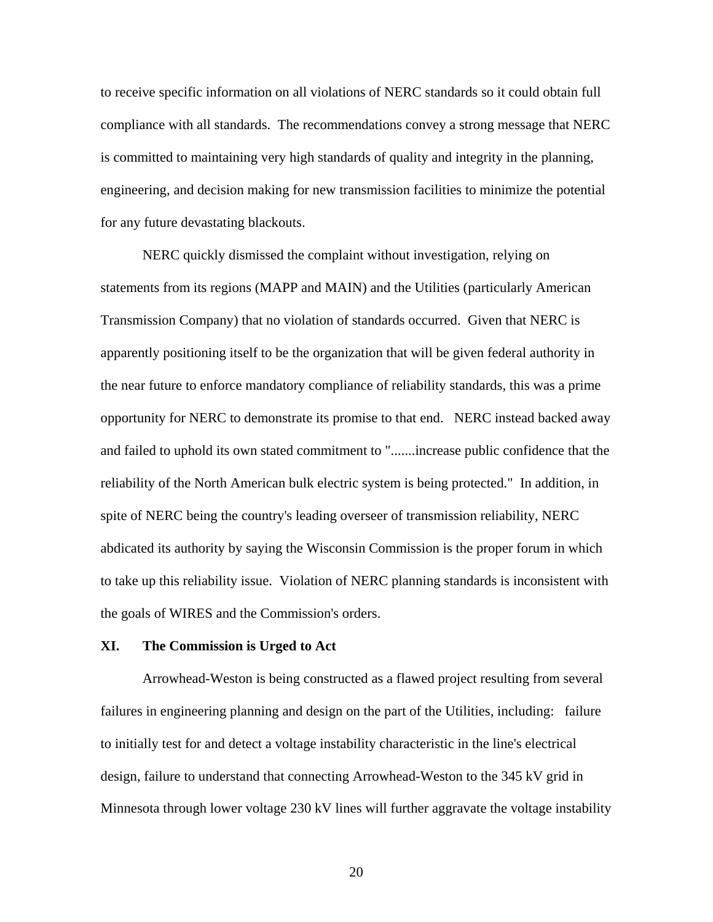to receive specific information on all violations of NERC standards so it could obtain full compliance with all standards. The recommendations convey a strong message that NERC is committed to maintaining very high standards of quality and integrity in the planning, engineering, and decision making for new transmission facilities to minimize the potential for any future devastating blackouts.

NERC quickly dismissed the complaint without investigation, relying on statements from its regions (MAPP and MAIN) and the Utilities (particularly American Transmission Company) that no violation of standards occurred. Given that NERC is apparently positioning itself to be the organization that will be given federal authority in the near future to enforce mandatory compliance of reliability standards, this was a prime opportunity for NERC to demonstrate its promise to that end. NERC instead backed away and failed to uphold its own stated commitment to ".......increase public confidence that the reliability of the North American bulk electric system is being protected." In addition, in spite of NERC being the country's leading overseer of transmission reliability, NERC abdicated its authority by saying the Wisconsin Commission is the proper forum in which to take up this reliability issue. Violation of NERC planning standards is inconsistent with the goals of WIRES and the Commission's orders.

### **XI. The Commission is Urged to Act**

Arrowhead-Weston is being constructed as a flawed project resulting from several failures in engineering planning and design on the part of the Utilities, including: failure to initially test for and detect a voltage instability characteristic in the line's electrical design, failure to understand that connecting Arrowhead-Weston to the 345 kV grid in Minnesota through lower voltage 230 kV lines will further aggravate the voltage instability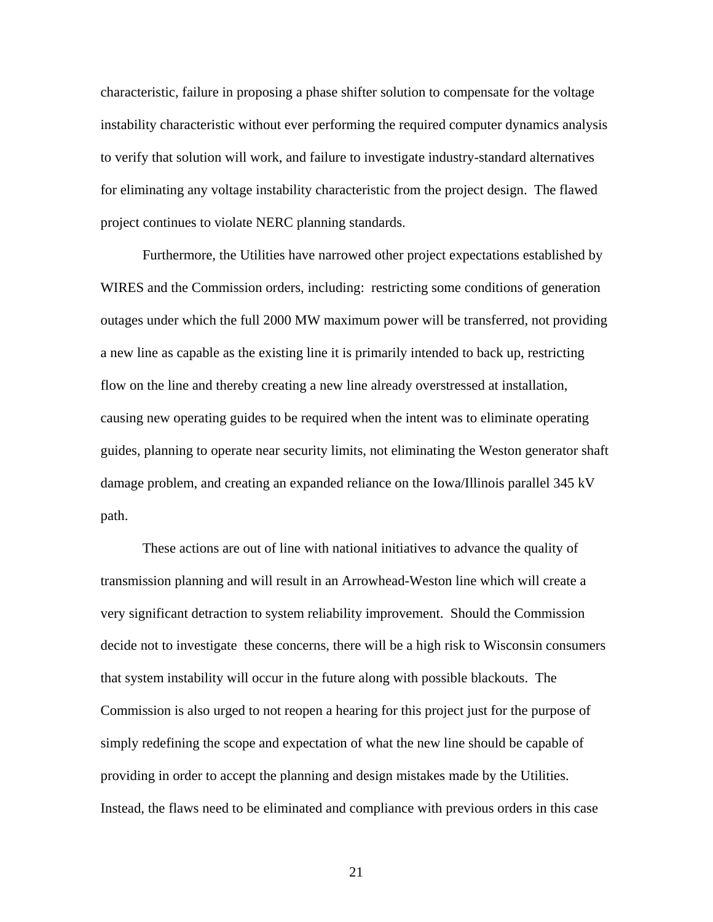characteristic, failure in proposing a phase shifter solution to compensate for the voltage instability characteristic without ever performing the required computer dynamics analysis to verify that solution will work, and failure to investigate industry-standard alternatives for eliminating any voltage instability characteristic from the project design. The flawed project continues to violate NERC planning standards.

Furthermore, the Utilities have narrowed other project expectations established by WIRES and the Commission orders, including: restricting some conditions of generation outages under which the full 2000 MW maximum power will be transferred, not providing a new line as capable as the existing line it is primarily intended to back up, restricting flow on the line and thereby creating a new line already overstressed at installation, causing new operating guides to be required when the intent was to eliminate operating guides, planning to operate near security limits, not eliminating the Weston generator shaft damage problem, and creating an expanded reliance on the Iowa/Illinois parallel 345 kV path.

These actions are out of line with national initiatives to advance the quality of transmission planning and will result in an Arrowhead-Weston line which will create a very significant detraction to system reliability improvement. Should the Commission decide not to investigate these concerns, there will be a high risk to Wisconsin consumers that system instability will occur in the future along with possible blackouts. The Commission is also urged to not reopen a hearing for this project just for the purpose of simply redefining the scope and expectation of what the new line should be capable of providing in order to accept the planning and design mistakes made by the Utilities. Instead, the flaws need to be eliminated and compliance with previous orders in this case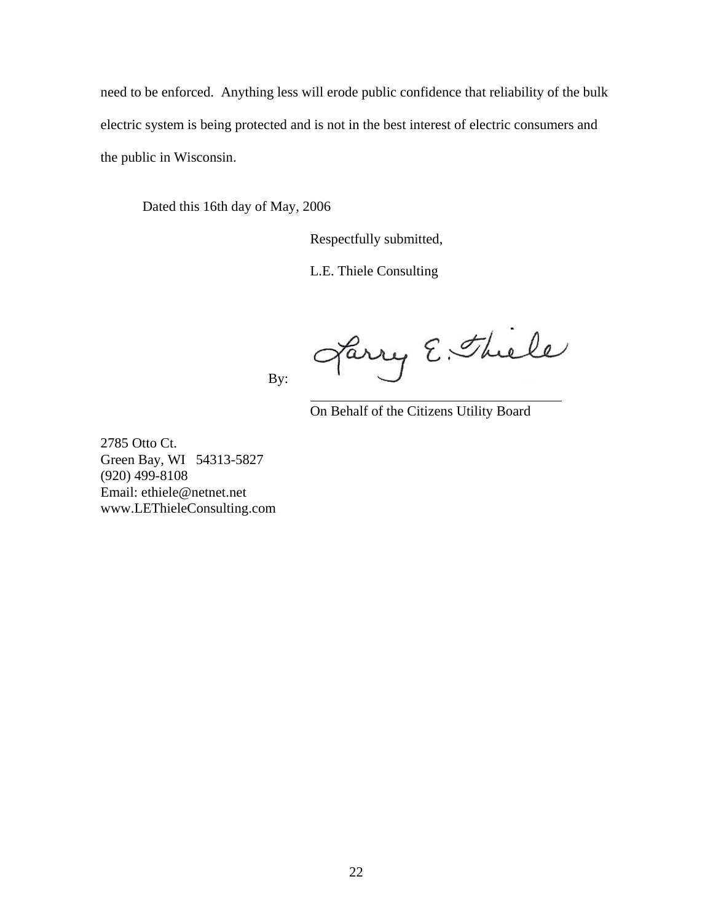need to be enforced. Anything less will erode public confidence that reliability of the bulk electric system is being protected and is not in the best interest of electric consumers and the public in Wisconsin.

Dated this 16th day of May, 2006

By:

Respectfully submitted,

L.E. Thiele Consulting

Jarry E. Thiele

On Behalf of the Citizens Utility Board

2785 Otto Ct. Green Bay, WI 54313-5827 (920) 499-8108 Email: ethiele@netnet.net www.LEThieleConsulting.com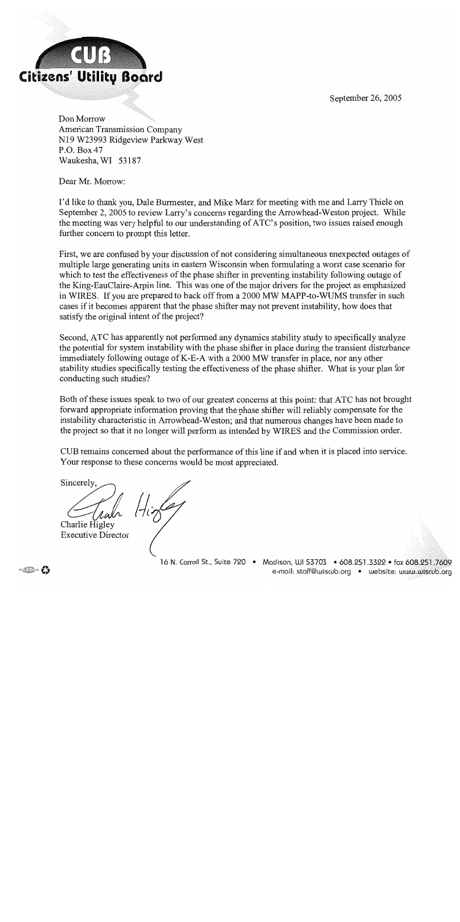September 26, 2005



Don Morrow American Transmission Company N19 W23993 Ridgeview Parkway West P.O. Box 47 Waukesha, WI 53187

Dear Mr. Morrow:

I'd like to thank you, Dale Burmester, and Mike Marz for meeting with me and Larry Thiele on September 2, 2005 to review Larry's concerns regarding the Arrowhead-Weston project. While the meeting was very helpful to our understanding of ATC's position, two issues raised enough further concern to prompt this letter.

First, we are confused by your discussion of not considering simultaneous unexpected outages of multiple large generating units in eastern Wisconsin when formulating a worst case scenario for which to test the effectiveness of the phase shifter in preventing instability following outage of the King-EauClaire-Arpin line. This was one of the major drivers for the project as emphasized in WIRES. If you are prepared to back off from a 2000 MW MAPP-to-WUMS transfer in such cases if it becomes apparent that the phase shifter may not prevent instability, how does that satisfy the original intent of the project?

Second, ATC has apparently not performed any dynamics stability study to specifically analyze the potential for system instability with the phase shifter in place during the transient disturbance immediately following outage of K-E-A with a 2000 MW transfer in place, nor any other stability studies specifically testing the effectiveness of the phase shifter. What is your plan for conducting such studies?

Both of these issues speak to two of our greatest concerns at this point: that ATC has not brought forward appropriate information proving that the phase shifter will reliably compensate for the instability characteristic in Arrowhead-Weston; and that numerous changes have been made to the project so that it no longer will perform as intended by WIRES and the Commission order.

CUB remains concerned about the performance of this line if and when it is placed into service. Your response to these concerns would be most appreciated.

Sincerely. Train Higher Charlie Higley

**Executive Director** 

16 N. Carroll St., Suite 720 • Madison, WI 53703 • 608.251.3322 • fax 608.251.7609 e-mail: staff@wiscub.org · website: www.wiscub.org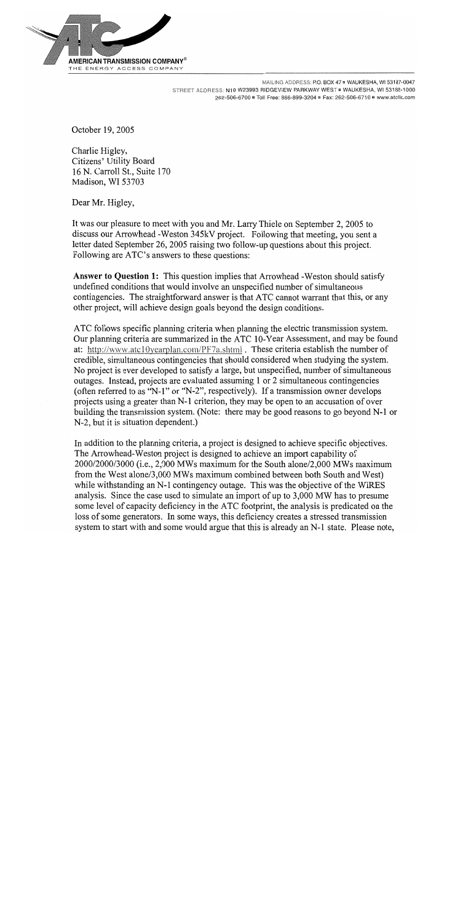

MAILING ADDRESS: P.O. BOX 47 . WAUKESHA, WI 53187-0047 STREET ADDRESS: N19 W23993 RIDGEVIEW PARKWAY WEST . WAUKESHA, WI 53188-1000 262-506-6700 = Toll Free: 866-899-3204 = Fax: 262-506-6710 = www.atclic.com

October 19, 2005

Charlie Higley. Citizens' Utility Board 16 N. Carroll St., Suite 170 Madison, WI 53703

Dear Mr. Higley,

It was our pleasure to meet with you and Mr. Larry Thiele on September 2, 2005 to discuss our Arrowhead - Weston 345kV project. Following that meeting, you sent a letter dated September 26, 2005 raising two follow-up questions about this project. Following are ATC's answers to these questions:

Answer to Question 1: This question implies that Arrowhead -Weston should satisfy undefined conditions that would involve an unspecified number of simultaneous contingencies. The straightforward answer is that ATC cannot warrant that this, or any other project, will achieve design goals beyond the design conditions.

ATC follows specific planning criteria when planning the electric transmission system. Our planning criteria are summarized in the ATC 10-Year Assessment, and may be found at: http://www.atc10yearplan.com/PF7a.shtml . These criteria establish the number of credible, simultaneous contingencies that should considered when studying the system. No project is ever developed to satisfy a large, but unspecified, number of simultaneous outages. Instead, projects are evaluated assuming 1 or 2 simultaneous contingencies (often referred to as "N-1" or "N-2", respectively). If a transmission owner develops projects using a greater than N-1 criterion, they may be open to an accusation of over building the transmission system. (Note: there may be good reasons to go beyond N-1 or N-2, but it is situation dependent.)

In addition to the planning criteria, a project is designed to achieve specific objectives. The Arrowhead-Weston project is designed to achieve an import capability of 2000/2000/3000 (i.e., 2,000 MWs maximum for the South alone/2,000 MWs maximum from the West alone/3,000 MWs maximum combined between both South and West) while withstanding an N-1 contingency outage. This was the objective of the WIRES analysis. Since the case used to simulate an import of up to 3,000 MW has to presume some level of capacity deficiency in the ATC footprint, the analysis is predicated on the loss of some generators. In some ways, this deficiency creates a stressed transmission system to start with and some would argue that this is already an N-1 state. Please note,